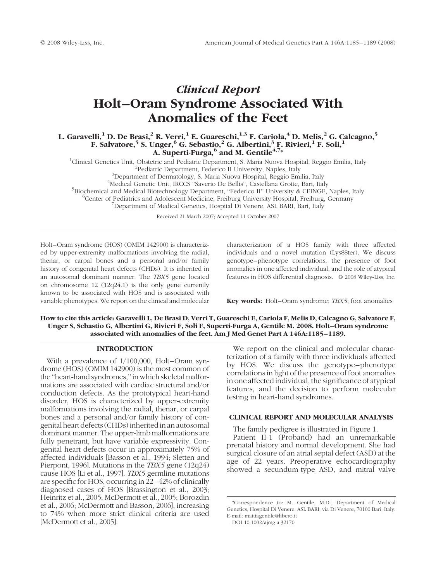# Clinical Report Holt–Oram Syndrome Associated With Anomalies of the Feet

L. Garavelli,<sup>1</sup> D. De Brasi,<sup>2</sup> R. Verri,<sup>1</sup> E. Guareschi,<sup>1,3</sup> F. Cariola,<sup>4</sup> D. Melis,<sup>2</sup> G. Calcagno,<sup>5</sup> F. Salvatore,<sup>5</sup> S. Unger,<sup>6</sup> G. Sebastio,<sup>2</sup> G. Albertini,<sup>3</sup> F. Rivieri,<sup>1</sup> F. Soli,<sup>1</sup> A. Superti-Furga,  $6$  and M. Gentile<sup>4,7\*</sup>

<sup>1</sup>Clinical Genetics Unit, Obstetric and Pediatric Department, S. Maria Nuova Hospital, Reggio Emilia, Italy <sup>2</sup>Pediatric Department, Federico II University, Naples, Italy <sup>3</sup>Department of Dermatology, S. Maria Nuova Hospital, Reggio Emilia, Italy <sup>4</sup>Medical Genetic Unit, IRCCS "Saverio De Bellis", Castellana Grotte, Bari, Italy

<sup>5</sup>Biochemical and Medical Biotechnology Department, "Federico II" University & CEINGE, Naples, Italy

<sup>6</sup> Center of Pediatrics and Adolescent Medicine, Freiburg University Hospital, Freiburg, Germany

<sup>7</sup>Department of Medical Genetics, Hospital Di Venere, ASL BARI, Bari, Italy

Received 21 March 2007; Accepted 11 October 2007

Holt–Oram syndrome (HOS) (OMIM 142900) is characterized by upper-extremity malformations involving the radial, thenar, or carpal bones and a personal and/or family history of congenital heart defects (CHDs). It is inherited in an autosomal dominant manner. The TBX5 gene located on chromosome 12 (12q24.1) is the only gene currently known to be associated with HOS and is associated with variable phenotypes. We report on the clinical and molecular characterization of a HOS family with three affected individuals and a novel mutation (Lys88ter). We discuss genotype–phenotype correlations, the presence of foot anomalies in one affected individual, and the role of atypical features in HOS differential diagnosis.  $\circ$  2008 Wiley-Liss, Inc.

Key words: Holt–Oram syndrome; TBX5; foot anomalies

How to cite this article: Garavelli L, De Brasi D, Verri T, Guareschi E, Cariola F, Melis D, Calcagno G, Salvatore F, Unger S, Sebastio G, Albertini G, Rivieri F, Soli F, Superti-Furga A, Gentile M. 2008. Holt–Oram syndrome associated with anomalies of the feet. Am J Med Genet Part A 146A:1185–1189.

# INTRODUCTION

With a prevalence of 1/100,000, Holt–Oram syndrome (HOS) (OMIM 142900) is the most common of the "heart-hand syndromes," in which skeletal malformations are associated with cardiac structural and/or conduction defects. As the prototypical heart-hand disorder, HOS is characterized by upper-extremity malformations involving the radial, thenar, or carpal bones and a personal and/or family history of congenital heart defects (CHDs) inherited in an autosomal dominant manner. The upper-limb malformations are fully penetrant, but have variable expressivity. Congenital heart defects occur in approximately 75% of affected individuals [Basson et al., 1994; Sletten and Pierpont, 1996]. Mutations in the TBX5 gene (12q24) cause HOS [Li et al., 1997]. TBX5 germline mutations are specific for HOS, occurring in 22–42% of clinically diagnosed cases of HOS [Brassington et al., 2003; Heinritz et al., 2005; McDermott et al., 2005; Borozdin et al., 2006; McDermott and Basson, 2006], increasing to 74% when more strict clinical criteria are used [McDermott et al., 2005].

We report on the clinical and molecular characterization of a family with three individuals affected by HOS. We discuss the genotype–phenotype correlations in light of the presence of foot anomalies in one affected individual, the significance of atypical features, and the decision to perform molecular testing in heart-hand syndromes.

# CLINICAL REPORT AND MOLECULAR ANALYSIS

The family pedigree is illustrated in Figure 1.

Patient II-1 (Proband) had an unremarkable prenatal history and normal development. She had surgical closure of an atrial septal defect (ASD) at the age of 22 years. Preoperative echocardiography showed a secundum-type ASD, and mitral valve

<sup>\*</sup>Correspondence to: M. Gentile, M.D., Department of Medical Genetics, Hospital Di Venere, ASL BARI, via Di Venere, 70100 Bari, Italy. E-mail: mattiagentile@libero.it

DOI 10.1002/ajmg.a.32170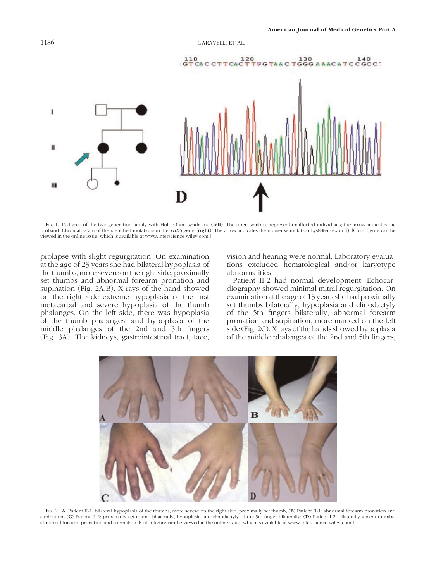

FIG. 1. Pedigree of the two-generation family with Holt–Oram syndrome (left). The open symbols represent unaffected individuals; the arrow indicates the proband. Chromatogram of the identified mutations in the TBX5 gene (right). The arrow indicates the nonsense mutation Lys88ter (exon 4). [Color figure can be viewed in the online issue, which is available at www.interscience.wiley.com.]

prolapse with slight regurgitation. On examination at the age of 23 years she had bilateral hypoplasia of the thumbs, more severe on the right side, proximally set thumbs and abnormal forearm pronation and supination (Fig. 2A,B). X rays of the hand showed on the right side extreme hypoplasia of the first metacarpal and severe hypoplasia of the thumb phalanges. On the left side, there was hypoplasia of the thumb phalanges, and hypoplasia of the middle phalanges of the 2nd and 5th fingers (Fig. 3A). The kidneys, gastrointestinal tract, face,

vision and hearing were normal. Laboratory evaluations excluded hematological and/or karyotype abnormalities.

Patient II-2 had normal development. Echocardiography showed minimal mitral regurgitation. On examination at the age of 13 years she had proximally set thumbs bilaterally, hypoplasia and clinodactyly of the 5th fingers bilaterally, abnormal forearm pronation and supination, more marked on the left side (Fig. 2C). X rays of the hands showed hypoplasia of the middle phalanges of the 2nd and 5th fingers,



FIG. 2. A: Patient II-1: bilateral hypoplasia of the thumbs, more severe on the right side, proximally set thumb; (B) Patient II-1: abnormal forearm pronation and supination; (C) Patient II-2: proximally set thumb bilaterally, hypoplasia and clinodactyly of the 5th finger bilaterally; (D) Patient I-2: bilaterally absent thumbs, abnormal forearm pronation and supination. [Color figure can be viewed in the online issue, which is available at www.interscience.wiley.com.]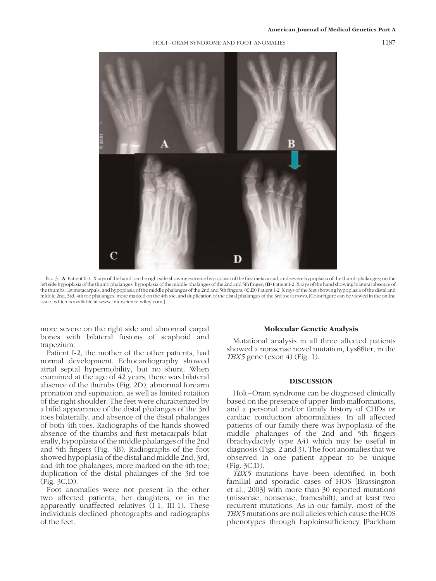# American Journal of Medical Genetics Part A

# HOLT–ORAM SYNDROME AND FOOT ANOMALIES 1187



FIG. 3. A: Patient II-1. X rays of the hand: on the right side showing extreme hypoplasia of the first metacarpal, and severe hypoplasia of the thumb phalanges; on the left side hypoplasia of the thumb phalanges; hypoplasia of the middle phalanges of the 2nd and 5th finger; (B) Patient I-2. Xrays of the hand showing bilateral absence of the thumbs, 1st metacarpals, and hypoplasia of the middle phalanges of the 2nd and 5th fingers; (C,D) Patient I-2. X rays of the feet showing hypoplasia of the distal and middle 2nd, 3rd, 4th toe phalanges, more marked on the 4th toe, and duplication of the distal phalanges of the 3rd toe (arrow). [Color figure can be viewed in the online issue, which is available at www.interscience.wiley.com.]

more severe on the right side and abnormal carpal bones with bilateral fusions of scaphoid and trapezium.

Patient I-2, the mother of the other patients, had normal development. Echocardiography showed atrial septal hypermobility, but no shunt. When examined at the age of 42 years, there was bilateral absence of the thumbs (Fig. 2D), abnormal forearm pronation and supination, as well as limited rotation of the right shoulder. The feet were characterized by a bifid appearance of the distal phalanges of the 3rd toes bilaterally, and absence of the distal phalanges of both 4th toes. Radiographs of the hands showed absence of the thumbs and first metacarpals bilaterally, hypoplasia of the middle phalanges of the 2nd and 5th fingers (Fig. 3B). Radiographs of the foot showed hypoplasia of the distal and middle 2nd, 3rd, and 4th toe phalanges, more marked on the 4th toe; duplication of the distal phalanges of the 3rd toe (Fig. 3C,D).

Foot anomalies were not present in the other two affected patients, her daughters, or in the apparently unaffected relatives (I-1, III-1). These individuals declined photographs and radiographs of the feet.

#### Molecular Genetic Analysis

Mutational analysis in all three affected patients showed a nonsense novel mutation, Lys88ter, in the TBX5 gene (exon  $4$ ) (Fig. 1).

#### DISCUSSION

Holt–Oram syndrome can be diagnosed clinically based on the presence of upper-limb malformations, and a personal and/or family history of CHDs or cardiac conduction abnormalities. In all affected patients of our family there was hypoplasia of the middle phalanges of the 2nd and 5th fingers (brachydactyly type A4) which may be useful in diagnosis (Figs. 2 and 3). The foot anomalies that we observed in one patient appear to be unique (Fig. 3C,D).

TBX5 mutations have been identified in both familial and sporadic cases of HOS [Brassington et al., 2003] with more than 30 reported mutations (missense, nonsense, frameshift), and at least two recurrent mutations. As in our family, most of the TBX5 mutations are null alleles which cause the HOS phenotypes through haploinsufficiency [Packham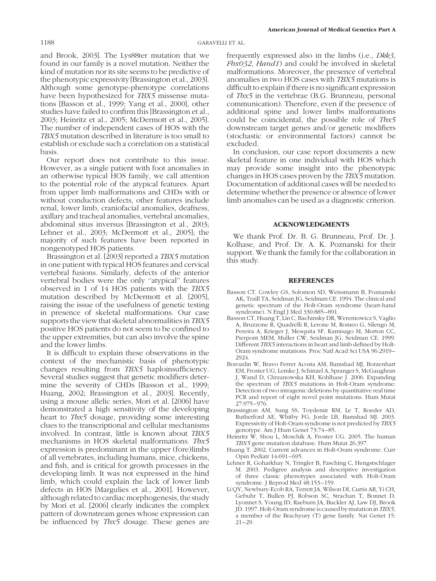and Brook, 2003]. The Lys88ter mutation that we found in our family is a novel mutation. Neither the kind of mutation nor its site seems to be predictive of the phenotypic expressivity[Brassington et al., 2003]. Although some genotype-phenotype correlations have been hypothesized for TBX5 missense mutations [Basson et al., 1999; Yang et al., 2000], other studies have failed to confirm this [Brassington et al., 2003; Heinritz et al., 2005; McDermott et al., 2005]. The number of independent cases of HOS with the TBX5 mutation described in literature is too small to establish or exclude such a correlation on a statistical basis.

Our report does not contribute to this issue. However, as a single patient with foot anomalies in an otherwise typical HOS family, we call attention to the potential role of the atypical features. Apart from upper limb malformations and CHDs with or without conduction defects, other features include renal, lower limb, craniofacial anomalies, deafness, axillary and tracheal anomalies, vertebral anomalies, abdominal situs inversus [Brassington et al., 2003; Lehner et al., 2003; McDermott et al., 2005]; the majority of such features have been reported in nongenotyped HOS patients.

Brassington et al. [2003] reported a TBX5 mutation in one patient with typical HOS features and cervical vertebral fusions. Similarly, defects of the anterior vertebral bodies were the only ''atypical'' features observed in 1 of 14 HOS patients with the TBX5 mutation described by McDermott et al. [2005], raising the issue of the usefulness of genetic testing in presence of skeletal malformations. Our case supports the view that skeletal abnormalities in TBX5 positive HOS patients do not seem to be confined to the upper extremities, but can also involve the spine and the lower limbs.

It is difficult to explain these observations in the context of the mechanistic basis of phenotypic changes resulting from TBX5 haploinsufficiency. Several studies suggest that genetic modifiers determine the severity of CHDs [Basson et al., 1999; Huang, 2002; Brassington et al., 2003]. Recently, using a mouse allelic series, Mori et al. [2006] have demonstrated a high sensitivity of the developing heart to *Tbx5* dosage, providing some interesting clues to the transcriptional and cellular mechanisms involved. In contrast, little is known about TBX5 mechanisms in HOS skeletal malformations. Tbx5 expression is predominant in the upper (fore)limbs of all vertebrates, including humans, mice, chickens, and fish, and is critical for growth processes in the developing limb. It was not expressed in the hind limb, which could explain the lack of lower limb defects in HOS [Margulies et al., 2001]. However, although related to cardiac morphogenesis, the study by Mori et al. [2006] clearly indicates the complex pattern of downstream genes whose expression can be influenced by Tbx5 dosage. These genes are

frequently expressed also in the limbs (i.e., *Dkk3*, Fbx032, Hand1) and could be involved in skeletal malformations. Moreover, the presence of vertebral anomalies in two HOS cases with TBX5 mutations is difficult to explain if there is no significant expression of Tbx5 in the vertebrae (B.G. Brunneau, personal communication). Therefore, even if the presence of additional spine and lower limbs malformations could be coincidental, the possible role of Tbx5 downstream target genes and/or genetic modifiers (stochastic or environmental factors) cannot be excluded.

In conclusion, our case report documents a new skeletal feature in one individual with HOS which may provide some insight into the phenotypic changes in HOS cases proven by the TBX5 mutation. Documentation of additional cases will be needed to determine whether the presence or absence of lower limb anomalies can be used as a diagnostic criterion.

#### ACKNOWLEDGMENTS

We thank Prof. Dr. B. G. Brunneau, Prof. Dr. J. Kolhase, and Prof. Dr. A. K. Poznanski for their support. We thank the family for the collaboration in this study.

## **REFERENCES**

- Basson CT, Cowley GS, Solomon SD, Weissmann B, Poznanski AK, Traill TA, Seidman JG, Seidman CE. 1994. The clinical and genetic spectrum of the Holt-Oram syndrome (heart-hand syndrome). N Engl J Med 330:885–891.
- Basson CT, Huang T, Lin C, Bachinsky DR, Weremowicz S, Vaglio A, Bruzzone R, Quadrelli R, Lerone M, Romeo G, Silengo M, Pereira A, Krieger J, Mesquita SF, Kamisago M, Morton CC, Pierpont MEM, Muller CW, Seidman JG, Seidman CE. 1999. Different TBX5 interactions in heart and limb defined by Holt-Oram syndrome mutations. Proc Natl Acad Sci USA 96:2919– 2924.
- Borozdin W, Bravo Ferrer Acosta AM, Bamshad MJ, Botzenhart EM, Froster UG, Lemke J, Schinzel A, Spranger S, McGaughran J, Wand D, Chrzanowska KH, Kohlhase J. 2006. Expanding the spectrum of TBX5 mutations in Holt-Oram syndrome: Detection of two intragenic deletions by quantitative real time PCR and report of eight novel point mutations. Hum Mutat 27:975–976.
- Brassington AM, Sung SS, Toydemir RM, Le T, Roeder AD, Rutherford AE, Whitby FG, Jorde LB, Bamshad MJ. 2003. Expressivity of Holt-Oram syndrome is not predicted by TBX5 genotype. Am J Hum Genet 73:74–85.
- Heinritz W, Shou L, Moschik A, Froster UG. 2005. The human TBX5 gene mutation database. Hum Mutat 26:397.
- Huang T. 2002. Current advances in Holt-Oram syndrome. Curr Opin Pediatr 14:691–695.
- Lehner R, Goharkhay N, Tringler B, Fasching C, Hengstschlager M. 2003. Pedigree analysis and descriptive investigation of three classic phenotypes associated with Holt-Oram syndrome. J Reprod Med  $48:153-159$ .
- Li QY, Newbury-Ecob RA, Terrett JA, Wilson DI, Curtis AR, Yi CH, Gebuhr T, Bullen PJ, Robson SC, Strachan T, Bonnet D, Lyonnet S, Young ID, Raeburn JA, Buckler AJ, Law DJ, Brook JD. 1997. Holt-Oram syndrome is caused by mutation in TBX5, a member of the Brachyury (T) gene family. Nat Genet 15: 21–29.